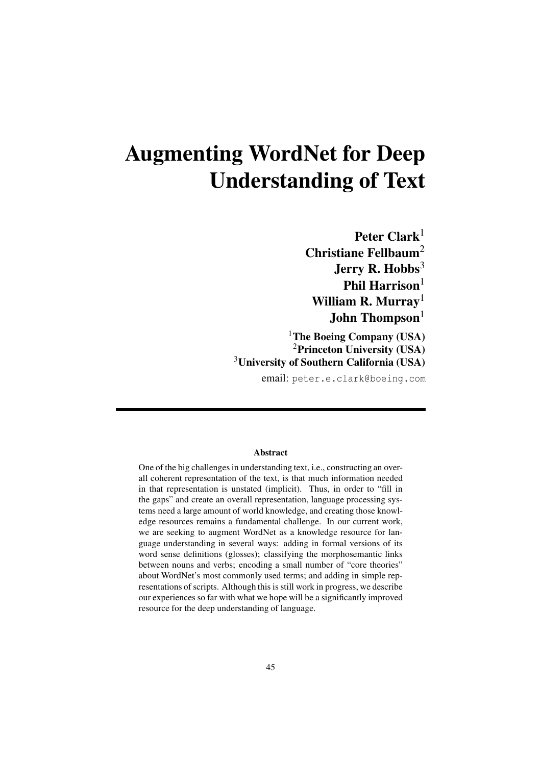# Augmenting WordNet for Deep Understanding of Text

Peter Clark<sup>1</sup> Christiane Fellbaum<sup>2</sup> Jerry R. Hobbs<sup>3</sup> Phil Harrison $1$ William R. Murray<sup>1</sup> John Thompson $<sup>1</sup>$ </sup>

<sup>1</sup>The Boeing Company (USA) <sup>2</sup>Princeton University (USA) <sup>3</sup>University of Southern California (USA)

email: peter.e.clark@boeing.com

#### Abstract

One of the big challenges in understanding text, i.e., constructing an overall coherent representation of the text, is that much information needed in that representation is unstated (implicit). Thus, in order to "fill in the gaps" and create an overall representation, language processing systems need a large amount of world knowledge, and creating those knowledge resources remains a fundamental challenge. In our current work, we are seeking to augment WordNet as a knowledge resource for language understanding in several ways: adding in formal versions of its word sense definitions (glosses); classifying the morphosemantic links between nouns and verbs; encoding a small number of "core theories" about WordNet's most commonly used terms; and adding in simple representations of scripts. Although this is still work in progress, we describe our experiences so far with what we hope will be a significantly improved resource for the deep understanding of language.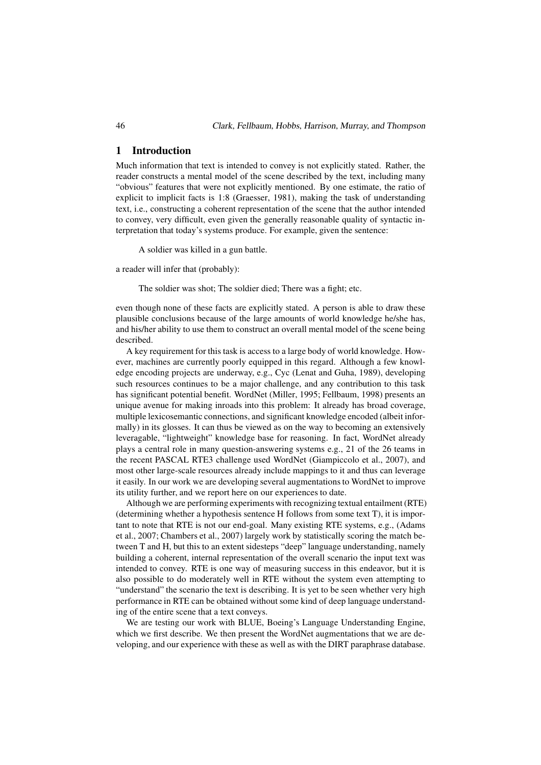#### 1 Introduction

Much information that text is intended to convey is not explicitly stated. Rather, the reader constructs a mental model of the scene described by the text, including many "obvious" features that were not explicitly mentioned. By one estimate, the ratio of explicit to implicit facts is 1:8 (Graesser, 1981), making the task of understanding text, i.e., constructing a coherent representation of the scene that the author intended to convey, very difficult, even given the generally reasonable quality of syntactic interpretation that today's systems produce. For example, given the sentence:

A soldier was killed in a gun battle.

a reader will infer that (probably):

The soldier was shot; The soldier died; There was a fight; etc.

even though none of these facts are explicitly stated. A person is able to draw these plausible conclusions because of the large amounts of world knowledge he/she has, and his/her ability to use them to construct an overall mental model of the scene being described.

A key requirement for this task is access to a large body of world knowledge. However, machines are currently poorly equipped in this regard. Although a few knowledge encoding projects are underway, e.g., Cyc (Lenat and Guha, 1989), developing such resources continues to be a major challenge, and any contribution to this task has significant potential benefit. WordNet (Miller, 1995; Fellbaum, 1998) presents an unique avenue for making inroads into this problem: It already has broad coverage, multiple lexicosemantic connections, and significant knowledge encoded (albeit informally) in its glosses. It can thus be viewed as on the way to becoming an extensively leveragable, "lightweight" knowledge base for reasoning. In fact, WordNet already plays a central role in many question-answering systems e.g., 21 of the 26 teams in the recent PASCAL RTE3 challenge used WordNet (Giampiccolo et al., 2007), and most other large-scale resources already include mappings to it and thus can leverage it easily. In our work we are developing several augmentations to WordNet to improve its utility further, and we report here on our experiences to date.

Although we are performing experiments with recognizing textual entailment (RTE) (determining whether a hypothesis sentence H follows from some text T), it is important to note that RTE is not our end-goal. Many existing RTE systems, e.g., (Adams et al., 2007; Chambers et al., 2007) largely work by statistically scoring the match between T and H, but this to an extent sidesteps "deep" language understanding, namely building a coherent, internal representation of the overall scenario the input text was intended to convey. RTE is one way of measuring success in this endeavor, but it is also possible to do moderately well in RTE without the system even attempting to "understand" the scenario the text is describing. It is yet to be seen whether very high performance in RTE can be obtained without some kind of deep language understanding of the entire scene that a text conveys.

We are testing our work with BLUE, Boeing's Language Understanding Engine, which we first describe. We then present the WordNet augmentations that we are developing, and our experience with these as well as with the DIRT paraphrase database.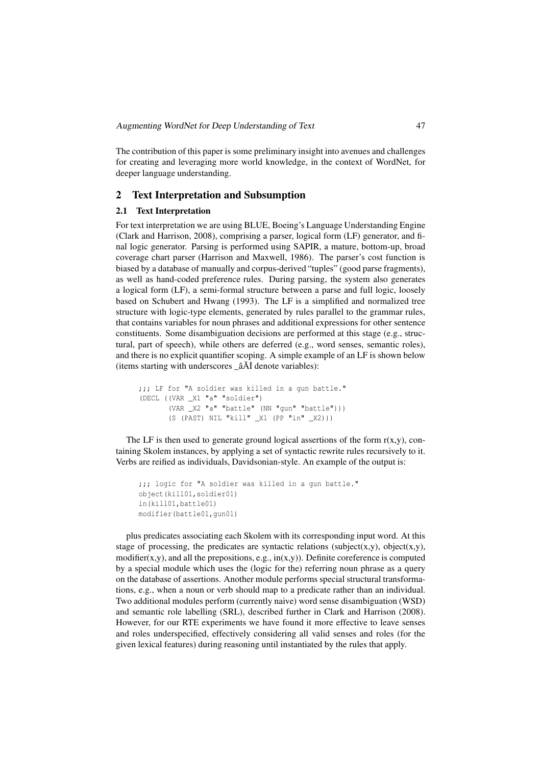The contribution of this paper is some preliminary insight into avenues and challenges for creating and leveraging more world knowledge, in the context of WordNet, for deeper language understanding.

## 2 Text Interpretation and Subsumption

#### 2.1 Text Interpretation

For text interpretation we are using BLUE, Boeing's Language Understanding Engine (Clark and Harrison, 2008), comprising a parser, logical form (LF) generator, and final logic generator. Parsing is performed using SAPIR, a mature, bottom-up, broad coverage chart parser (Harrison and Maxwell, 1986). The parser's cost function is biased by a database of manually and corpus-derived "tuples" (good parse fragments), as well as hand-coded preference rules. During parsing, the system also generates a logical form (LF), a semi-formal structure between a parse and full logic, loosely based on Schubert and Hwang (1993). The LF is a simplified and normalized tree structure with logic-type elements, generated by rules parallel to the grammar rules, that contains variables for noun phrases and additional expressions for other sentence constituents. Some disambiguation decisions are performed at this stage (e.g., structural, part of speech), while others are deferred (e.g., word senses, semantic roles), and there is no explicit quantifier scoping. A simple example of an LF is shown below (items starting with underscores \_âĂİ denote variables):

```
;;; LF for "A soldier was killed in a gun battle."
(DECL ((VAR _X1 "a" "soldier")
       (VAR _X2 "a" "battle" (NN "gun" "battle")))
       (S (PAST) NIL "kill" _X1 (PP "in" _X2)))
```
The LF is then used to generate ground logical assertions of the form  $r(x,y)$ , containing Skolem instances, by applying a set of syntactic rewrite rules recursively to it. Verbs are reified as individuals, Davidsonian-style. An example of the output is:

```
;;; logic for "A soldier was killed in a gun battle."
object(kill01,soldier01)
in(kill01,battle01)
modifier(battle01,gun01)
```
plus predicates associating each Skolem with its corresponding input word. At this stage of processing, the predicates are syntactic relations (subject(x,y), object(x,y), modifier(x,y), and all the prepositions, e.g.,  $\text{in}(x,y)$ ). Definite coreference is computed by a special module which uses the (logic for the) referring noun phrase as a query on the database of assertions. Another module performs special structural transformations, e.g., when a noun or verb should map to a predicate rather than an individual. Two additional modules perform (currently naive) word sense disambiguation (WSD) and semantic role labelling (SRL), described further in Clark and Harrison (2008). However, for our RTE experiments we have found it more effective to leave senses and roles underspecified, effectively considering all valid senses and roles (for the given lexical features) during reasoning until instantiated by the rules that apply.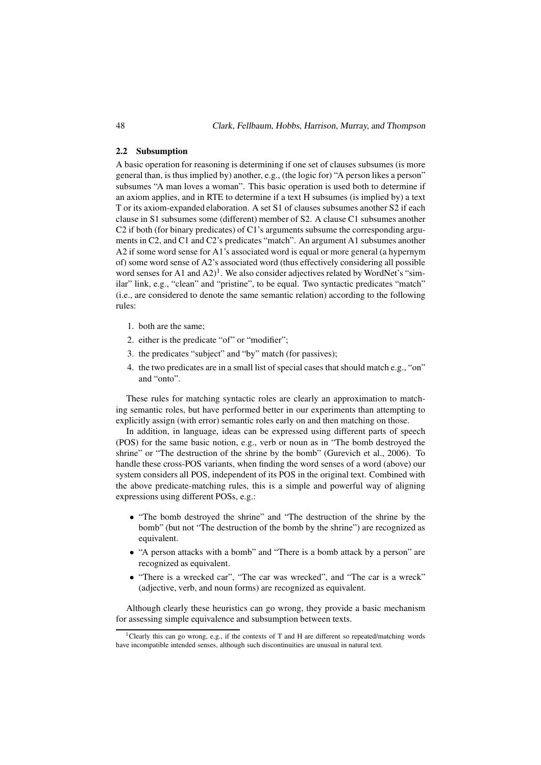48 Clark, Fellbaum, Hobbs, Harrison, Murray, and Thompson

#### 2.2 Subsumption

A basic operation for reasoning is determining if one set of clauses subsumes (is more general than, is thus implied by) another, e.g., (the logic for) "A person likes a person" subsumes "A man loves a woman". This basic operation is used both to determine if an axiom applies, and in RTE to determine if a text H subsumes (is implied by) a text T or its axiom-expanded elaboration. A set S1 of clauses subsumes another S2 if each clause in S1 subsumes some (different) member of S2. A clause C1 subsumes another C2 if both (for binary predicates) of C1's arguments subsume the corresponding arguments in C2, and C1 and C2's predicates "match". An argument A1 subsumes another A2 if some word sense for A1's associated word is equal or more general (a hypernym of) some word sense of A2's associated word (thus effectively considering all possible word senses for A1 and  $(A2)^1$ . We also consider adjectives related by WordNet's "similar" link, e.g., "clean" and "pristine", to be equal. Two syntactic predicates "match" (i.e., are considered to denote the same semantic relation) according to the following rules:

- 1. both are the same;
- 2. either is the predicate "of" or "modifier";
- 3. the predicates "subject" and "by" match (for passives);
- 4. the two predicates are in a small list of special cases thatshould match e.g., "on" and "onto".

These rules for matching syntactic roles are clearly an approximation to matching semantic roles, but have performed better in our experiments than attempting to explicitly assign (with error) semantic roles early on and then matching on those.

In addition, in language, ideas can be expressed using different parts of speech (POS) for the same basic notion, e.g., verb or noun as in "The bomb destroyed the shrine" or "The destruction of the shrine by the bomb" (Gurevich et al., 2006). To handle these cross-POS variants, when finding the word senses of a word (above) our system considers all POS, independent of its POS in the original text. Combined with the above predicate-matching rules, this is a simple and powerful way of aligning expressions using different POSs, e.g.:

- "The bomb destroyed the shrine" and "The destruction of the shrine by the bomb" (but not "The destruction of the bomb by the shrine") are recognized as equivalent.
- "A person attacks with a bomb" and "There is a bomb attack by a person" are recognized as equivalent.
- "There is a wrecked car", "The car was wrecked", and "The car is a wreck" (adjective, verb, and noun forms) are recognized as equivalent.

Although clearly these heuristics can go wrong, they provide a basic mechanism for assessing simple equivalence and subsumption between texts.

<sup>&</sup>lt;sup>1</sup>Clearly this can go wrong, e.g., if the contexts of T and H are different so repeated/matching words have incompatible intended senses, although such discontinuities are unusual in natural text.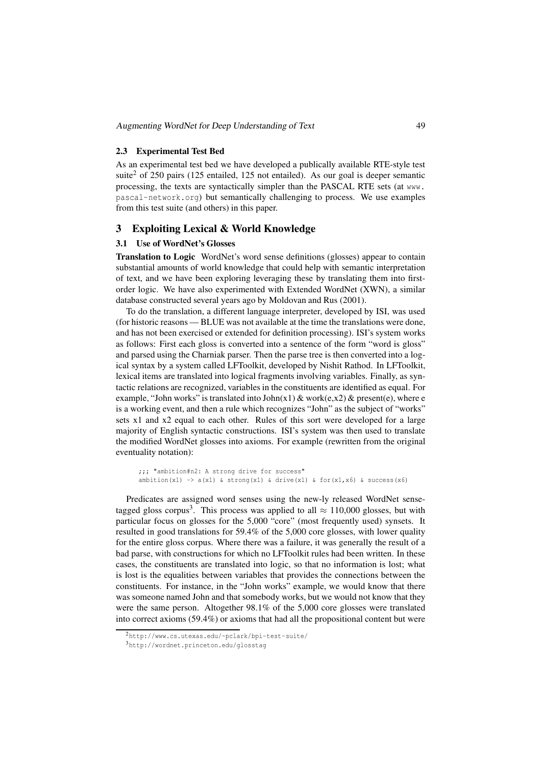#### 2.3 Experimental Test Bed

As an experimental test bed we have developed a publically available RTE-style test suite<sup>2</sup> of 250 pairs (125 entailed, 125 not entailed). As our goal is deeper semantic processing, the texts are syntactically simpler than the PASCAL RTE sets (at www. pascal-network.org) but semantically challenging to process. We use examples from this test suite (and others) in this paper.

#### 3 Exploiting Lexical & World Knowledge

# 3.1 Use of WordNet's Glosses

Translation to Logic WordNet's word sense definitions (glosses) appear to contain substantial amounts of world knowledge that could help with semantic interpretation of text, and we have been exploring leveraging these by translating them into firstorder logic. We have also experimented with Extended WordNet (XWN), a similar database constructed several years ago by Moldovan and Rus (2001).

To do the translation, a different language interpreter, developed by ISI, was used (for historic reasons — BLUE was not available at the time the translations were done, and has not been exercised or extended for definition processing). ISI's system works as follows: First each gloss is converted into a sentence of the form "word is gloss" and parsed using the Charniak parser. Then the parse tree is then converted into a logical syntax by a system called LFToolkit, developed by Nishit Rathod. In LFToolkit, lexical items are translated into logical fragments involving variables. Finally, as syntactic relations are recognized, variables in the constituents are identified as equal. For example, "John works" is translated into  $John(x1)$  & work(e,x2) & present(e), where e is a working event, and then a rule which recognizes "John" as the subject of "works" sets x1 and x2 equal to each other. Rules of this sort were developed for a large majority of English syntactic constructions. ISI's system was then used to translate the modified WordNet glosses into axioms. For example (rewritten from the original eventuality notation):

```
;;; "ambition#n2: A strong drive for success"
ambition(x1) \rightarrow a(x1) & strong(x1) & drive(x1) & for(x1,x6) & success(x6)
```
Predicates are assigned word senses using the new-ly released WordNet sensetagged gloss corpus<sup>3</sup>. This process was applied to all  $\approx 110,000$  glosses, but with particular focus on glosses for the 5,000 "core" (most frequently used) synsets. It resulted in good translations for 59.4% of the 5,000 core glosses, with lower quality for the entire gloss corpus. Where there was a failure, it was generally the result of a bad parse, with constructions for which no LFToolkit rules had been written. In these cases, the constituents are translated into logic, so that no information is lost; what is lost is the equalities between variables that provides the connections between the constituents. For instance, in the "John works" example, we would know that there was someone named John and that somebody works, but we would not know that they were the same person. Altogether 98.1% of the 5,000 core glosses were translated into correct axioms (59.4%) or axioms that had all the propositional content but were

<sup>2</sup>http://www.cs.utexas.edu/~pclark/bpi-test-suite/

<sup>3</sup>http://wordnet.princeton.edu/glosstag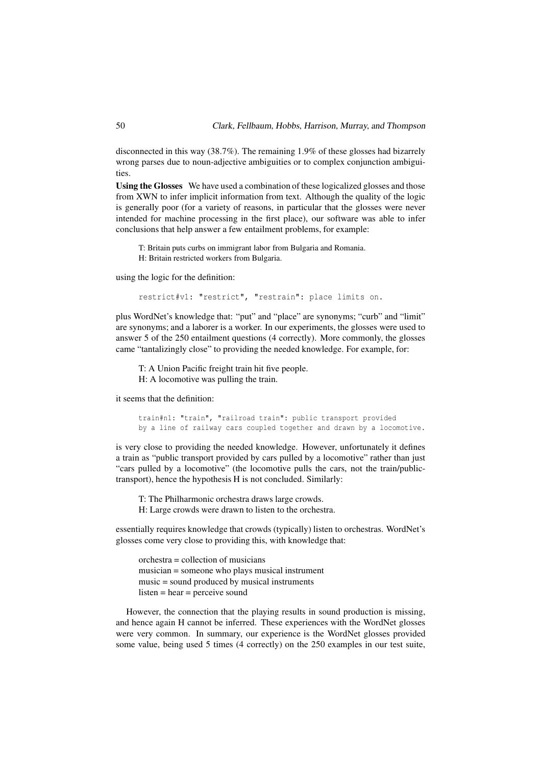disconnected in this way (38.7%). The remaining 1.9% of these glosses had bizarrely wrong parses due to noun-adjective ambiguities or to complex conjunction ambiguities.

Using the Glosses We have used a combination of these logicalized glosses and those from XWN to infer implicit information from text. Although the quality of the logic is generally poor (for a variety of reasons, in particular that the glosses were never intended for machine processing in the first place), our software was able to infer conclusions that help answer a few entailment problems, for example:

T: Britain puts curbs on immigrant labor from Bulgaria and Romania. H: Britain restricted workers from Bulgaria.

using the logic for the definition:

restrict#v1: "restrict", "restrain": place limits on.

plus WordNet's knowledge that: "put" and "place" are synonyms; "curb" and "limit" are synonyms; and a laborer is a worker. In our experiments, the glosses were used to answer 5 of the 250 entailment questions (4 correctly). More commonly, the glosses came "tantalizingly close" to providing the needed knowledge. For example, for:

T: A Union Pacific freight train hit five people. H: A locomotive was pulling the train.

it seems that the definition:

train#n1: "train", "railroad train": public transport provided by a line of railway cars coupled together and drawn by a locomotive.

is very close to providing the needed knowledge. However, unfortunately it defines a train as "public transport provided by cars pulled by a locomotive" rather than just "cars pulled by a locomotive" (the locomotive pulls the cars, not the train/publictransport), hence the hypothesis H is not concluded. Similarly:

T: The Philharmonic orchestra draws large crowds.

H: Large crowds were drawn to listen to the orchestra.

essentially requires knowledge that crowds (typically) listen to orchestras. WordNet's glosses come very close to providing this, with knowledge that:

orchestra = collection of musicians musician = someone who plays musical instrument music = sound produced by musical instruments listen = hear = perceive sound

However, the connection that the playing results in sound production is missing, and hence again H cannot be inferred. These experiences with the WordNet glosses were very common. In summary, our experience is the WordNet glosses provided some value, being used 5 times (4 correctly) on the 250 examples in our test suite,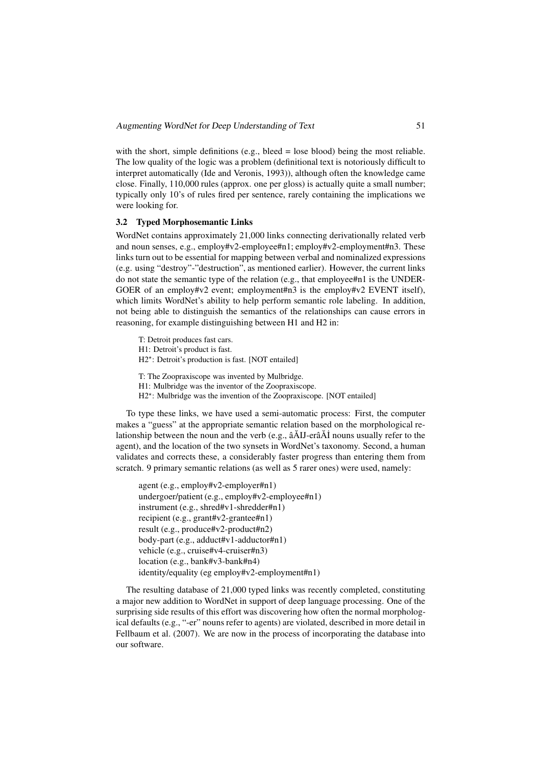with the short, simple definitions (e.g., bleed = lose blood) being the most reliable. The low quality of the logic was a problem (definitional text is notoriously difficult to interpret automatically (Ide and Veronis, 1993)), although often the knowledge came close. Finally, 110,000 rules (approx. one per gloss) is actually quite a small number; typically only 10's of rules fired per sentence, rarely containing the implications we were looking for.

# 3.2 Typed Morphosemantic Links

WordNet contains approximately 21,000 links connecting derivationally related verb and noun senses, e.g., employ#v2-employee#n1; employ#v2-employment#n3. These links turn out to be essential for mapping between verbal and nominalized expressions (e.g. using "destroy"-"destruction", as mentioned earlier). However, the current links do not state the semantic type of the relation (e.g., that employee#n1 is the UNDER-GOER of an employ#v2 event; employment#n3 is the employ#v2 EVENT itself), which limits WordNet's ability to help perform semantic role labeling. In addition, not being able to distinguish the semantics of the relationships can cause errors in reasoning, for example distinguishing between H1 and H2 in:

T: Detroit produces fast cars. H1: Detroit's product is fast. H2\*: Detroit's production is fast. [NOT entailed] T: The Zoopraxiscope was invented by Mulbridge. H1: Mulbridge was the inventor of the Zoopraxiscope.

H2<sup>\*</sup>: Mulbridge was the invention of the Zoopraxiscope. [NOT entailed]

To type these links, we have used a semi-automatic process: First, the computer makes a "guess" at the appropriate semantic relation based on the morphological relationship between the noun and the verb (e.g.,  $\tilde{a}$  AIJ-er $\tilde{a}$ AI<sup> $\tilde{A}$ </sup> nouns usually refer to the agent), and the location of the two synsets in WordNet's taxonomy. Second, a human validates and corrects these, a considerably faster progress than entering them from scratch. 9 primary semantic relations (as well as 5 rarer ones) were used, namely:

agent (e.g., employ#v2-employer#n1) undergoer/patient (e.g., employ#v2-employee#n1) instrument (e.g., shred#v1-shredder#n1) recipient (e.g., grant#v2-grantee#n1) result (e.g., produce#v2-product#n2) body-part (e.g., adduct#v1-adductor#n1) vehicle (e.g., cruise#v4-cruiser#n3) location (e.g., bank#v3-bank#n4) identity/equality (eg employ#v2-employment#n1)

The resulting database of 21,000 typed links was recently completed, constituting a major new addition to WordNet in support of deep language processing. One of the surprising side results of this effort was discovering how often the normal morphological defaults (e.g., "-er" nouns refer to agents) are violated, described in more detail in Fellbaum et al. (2007). We are now in the process of incorporating the database into our software.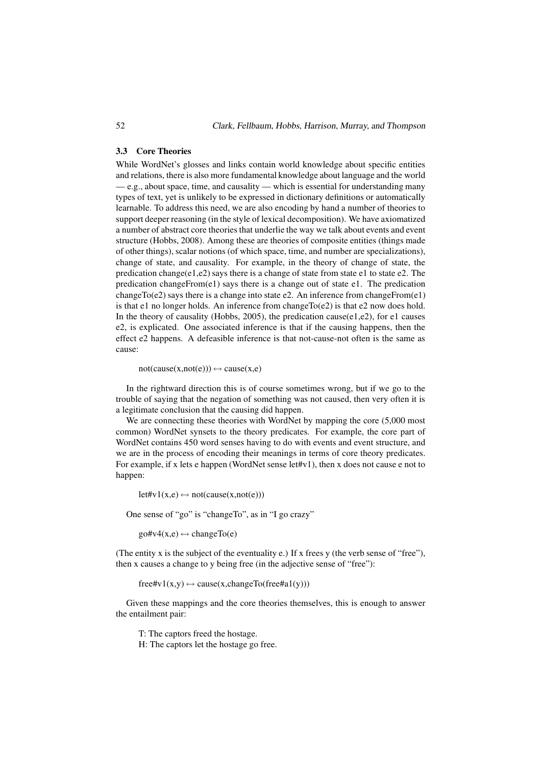52 Clark, Fellbaum, Hobbs, Harrison, Murray, and Thompson

#### 3.3 Core Theories

While WordNet's glosses and links contain world knowledge about specific entities and relations, there is also more fundamental knowledge about language and the world  $-e.g.,$  about space, time, and causality — which is essential for understanding many types of text, yet is unlikely to be expressed in dictionary definitions or automatically learnable. To address this need, we are also encoding by hand a number of theories to support deeper reasoning (in the style of lexical decomposition). We have axiomatized a number of abstract core theories that underlie the way we talk about events and event structure (Hobbs, 2008). Among these are theories of composite entities (things made of other things), scalar notions (of which space, time, and number are specializations), change of state, and causality. For example, in the theory of change of state, the predication change(e1,e2) says there is a change of state from state e1 to state e2. The predication changeFrom(e1) says there is a change out of state e1. The predication changeTo(e2) says there is a change into state e2. An inference from changeFrom(e1) is that e1 no longer holds. An inference from change  $To(e2)$  is that e2 now does hold. In the theory of causality (Hobbs, 2005), the predication cause(e1,e2), for e1 causes e2, is explicated. One associated inference is that if the causing happens, then the effect e2 happens. A defeasible inference is that not-cause-not often is the same as cause:

 $not(cause(x,not(e))) \leftrightarrow cause(x,e)$ 

In the rightward direction this is of course sometimes wrong, but if we go to the trouble of saying that the negation of something was not caused, then very often it is a legitimate conclusion that the causing did happen.

We are connecting these theories with WordNet by mapping the core  $(5,000 \text{ most})$ common) WordNet synsets to the theory predicates. For example, the core part of WordNet contains 450 word senses having to do with events and event structure, and we are in the process of encoding their meanings in terms of core theory predicates. For example, if x lets e happen (WordNet sense let#v1), then x does not cause e not to happen:

 $let\#v1(x,e) \leftrightarrow not(cause(x,not(e)))$ 

One sense of "go" is "changeTo", as in "I go crazy"

 $g \circ f \circ f(x,e) \leftrightarrow changeTo(e)$ 

(The entity x is the subject of the eventuality e.) If x frees y (the verb sense of "free"), then x causes a change to y being free (in the adjective sense of "free"):

 $free\#v1(x,y) \leftrightarrow cause(x, changeTo(free\#a1(y)))$ 

Given these mappings and the core theories themselves, this is enough to answer the entailment pair:

T: The captors freed the hostage.

H: The captors let the hostage go free.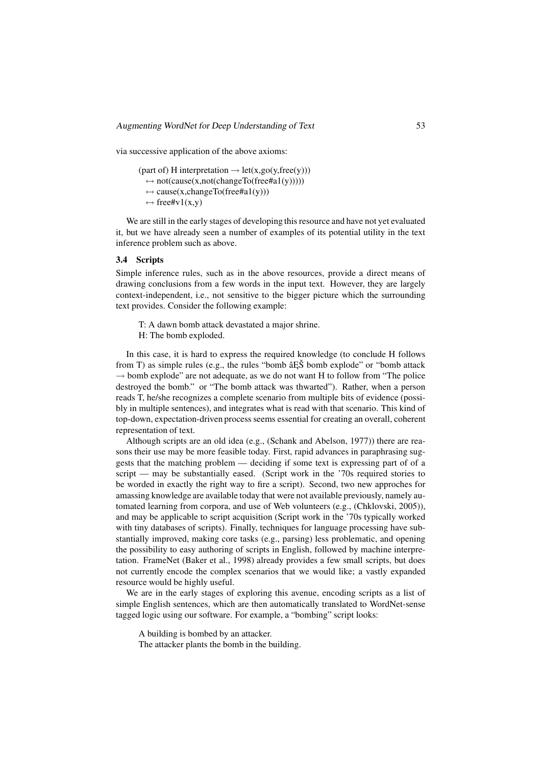via successive application of the above axioms:

(part of) H interpretation  $\rightarrow$  let(x,go(y,free(y)))  $\leftrightarrow$  not(cause(x,not(changeTo(free#a1(y)))))  $\leftrightarrow$  cause(x,changeTo(free#a1(y)))  $\leftrightarrow$  free#v1(x,y)

We are still in the early stages of developing this resource and have not yet evaluated it, but we have already seen a number of examples of its potential utility in the text inference problem such as above.

#### 3.4 Scripts

Simple inference rules, such as in the above resources, provide a direct means of drawing conclusions from a few words in the input text. However, they are largely context-independent, i.e., not sensitive to the bigger picture which the surrounding text provides. Consider the following example:

T: A dawn bomb attack devastated a major shrine.

H: The bomb exploded.

In this case, it is hard to express the required knowledge (to conclude H follows from T) as simple rules (e.g., the rules "bomb  $\hat{a}$ ES bomb explode" or "bomb attack  $\rightarrow$  bomb explode" are not adequate, as we do not want H to follow from "The police" destroyed the bomb." or "The bomb attack was thwarted"). Rather, when a person reads T, he/she recognizes a complete scenario from multiple bits of evidence (possibly in multiple sentences), and integrates what is read with that scenario. This kind of top-down, expectation-driven process seems essential for creating an overall, coherent representation of text.

Although scripts are an old idea (e.g., (Schank and Abelson, 1977)) there are reasons their use may be more feasible today. First, rapid advances in paraphrasing suggests that the matching problem — deciding if some text is expressing part of of a script — may be substantially eased. (Script work in the '70s required stories to be worded in exactly the right way to fire a script). Second, two new approches for amassing knowledge are available today that were not available previously, namely automated learning from corpora, and use of Web volunteers (e.g., (Chklovski, 2005)), and may be applicable to script acquisition (Script work in the '70s typically worked with tiny databases of scripts). Finally, techniques for language processing have substantially improved, making core tasks (e.g., parsing) less problematic, and opening the possibility to easy authoring of scripts in English, followed by machine interpretation. FrameNet (Baker et al., 1998) already provides a few small scripts, but does not currently encode the complex scenarios that we would like; a vastly expanded resource would be highly useful.

We are in the early stages of exploring this avenue, encoding scripts as a list of simple English sentences, which are then automatically translated to WordNet-sense tagged logic using our software. For example, a "bombing" script looks:

A building is bombed by an attacker.

The attacker plants the bomb in the building.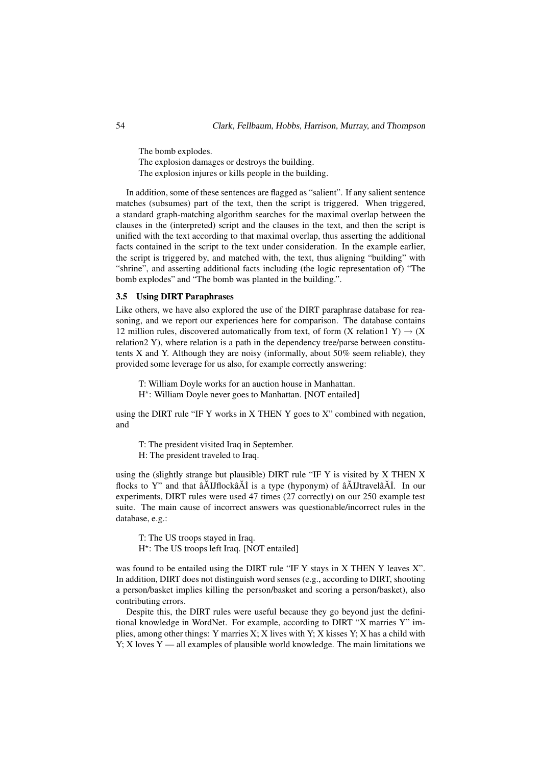The bomb explodes.

The explosion damages or destroys the building.

The explosion injures or kills people in the building.

In addition, some of these sentences are flagged as "salient". If any salient sentence matches (subsumes) part of the text, then the script is triggered. When triggered, a standard graph-matching algorithm searches for the maximal overlap between the clauses in the (interpreted) script and the clauses in the text, and then the script is unified with the text according to that maximal overlap, thus asserting the additional facts contained in the script to the text under consideration. In the example earlier, the script is triggered by, and matched with, the text, thus aligning "building" with "shrine", and asserting additional facts including (the logic representation of) "The bomb explodes" and "The bomb was planted in the building.".

#### 3.5 Using DIRT Paraphrases

Like others, we have also explored the use of the DIRT paraphrase database for reasoning, and we report our experiences here for comparison. The database contains 12 million rules, discovered automatically from text, of form  $(X \text{ relation } 1 \ Y) \rightarrow (X \text{)}$ relation2 Y), where relation is a path in the dependency tree/parse between constitutents X and Y. Although they are noisy (informally, about 50% seem reliable), they provided some leverage for us also, for example correctly answering:

T: William Doyle works for an auction house in Manhattan.

H ⋆ : William Doyle never goes to Manhattan. [NOT entailed]

using the DIRT rule "IF Y works in X THEN Y goes to X" combined with negation, and

T: The president visited Iraq in September.

H: The president traveled to Iraq.

using the (slightly strange but plausible) DIRT rule "IF Y is visited by X THEN X flocks to Y" and that  $\tilde{a}$ AIJflock $\tilde{a}$ A $\tilde{A}$  is a type (hyponym) of  $\tilde{a}$ AIJtravel $\tilde{a}$ AI. In our experiments, DIRT rules were used 47 times (27 correctly) on our 250 example test suite. The main cause of incorrect answers was questionable/incorrect rules in the database, e.g.:

T: The US troops stayed in Iraq. H<sup>\*</sup>: The US troops left Iraq. [NOT entailed]

was found to be entailed using the DIRT rule "IF Y stays in X THEN Y leaves X". In addition, DIRT does not distinguish word senses (e.g., according to DIRT, shooting a person/basket implies killing the person/basket and scoring a person/basket), also contributing errors.

Despite this, the DIRT rules were useful because they go beyond just the definitional knowledge in WordNet. For example, according to DIRT "X marries Y" implies, among other things: Y marries X; X lives with Y; X kisses Y; X has a child with  $Y$ ; X loves  $Y$  — all examples of plausible world knowledge. The main limitations we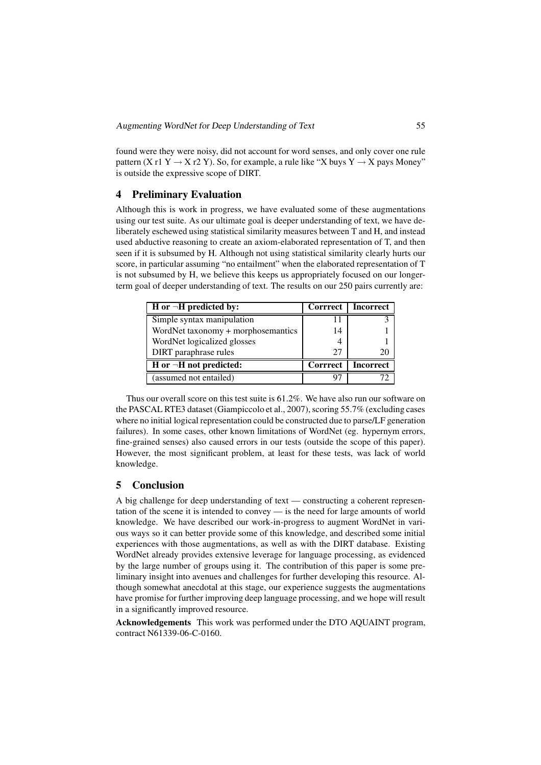found were they were noisy, did not account for word senses, and only cover one rule pattern (X r1 Y  $\rightarrow$  X r2 Y). So, for example, a rule like "X buys Y  $\rightarrow$  X pays Money" is outside the expressive scope of DIRT.

# 4 Preliminary Evaluation

Although this is work in progress, we have evaluated some of these augmentations using our test suite. As our ultimate goal is deeper understanding of text, we have deliberately eschewed using statistical similarity measures between T and H, and instead used abductive reasoning to create an axiom-elaborated representation of T, and then seen if it is subsumed by H. Although not using statistical similarity clearly hurts our score, in particular assuming "no entailment" when the elaborated representation of T is not subsumed by H, we believe this keeps us appropriately focused on our longerterm goal of deeper understanding of text. The results on our 250 pairs currently are:

| H or $\neg$ H predicted by:        | <b>Corrrect</b> | <b>Incorrect</b> |
|------------------------------------|-----------------|------------------|
| Simple syntax manipulation         |                 |                  |
| WordNet taxonomy + morphosemantics | 14              |                  |
| WordNet logicalized glosses        |                 |                  |
| DIRT paraphrase rules              | 27              |                  |
| $H$ or $\neg H$ not predicted:     | <b>Corrrect</b> | <b>Incorrect</b> |
| (assumed not entailed)             |                 |                  |

Thus our overall score on this test suite is 61.2%. We have also run our software on the PASCAL RTE3 dataset (Giampiccolo et al., 2007), scoring 55.7% (excluding cases where no initial logical representation could be constructed due to parse/LF generation failures). In some cases, other known limitations of WordNet (eg. hypernym errors, fine-grained senses) also caused errors in our tests (outside the scope of this paper). However, the most significant problem, at least for these tests, was lack of world knowledge.

# 5 Conclusion

A big challenge for deep understanding of text — constructing a coherent representation of the scene it is intended to convey — is the need for large amounts of world knowledge. We have described our work-in-progress to augment WordNet in various ways so it can better provide some of this knowledge, and described some initial experiences with those augmentations, as well as with the DIRT database. Existing WordNet already provides extensive leverage for language processing, as evidenced by the large number of groups using it. The contribution of this paper is some preliminary insight into avenues and challenges for further developing this resource. Although somewhat anecdotal at this stage, our experience suggests the augmentations have promise for further improving deep language processing, and we hope will result in a significantly improved resource.

Acknowledgements This work was performed under the DTO AQUAINT program, contract N61339-06-C-0160.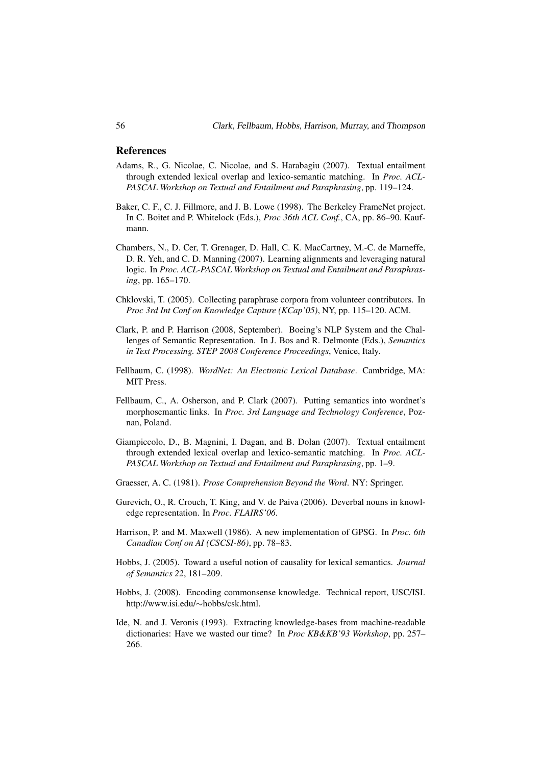#### References

- Adams, R., G. Nicolae, C. Nicolae, and S. Harabagiu (2007). Textual entailment through extended lexical overlap and lexico-semantic matching. In *Proc. ACL-PASCAL Workshop on Textual and Entailment and Paraphrasing*, pp. 119–124.
- Baker, C. F., C. J. Fillmore, and J. B. Lowe (1998). The Berkeley FrameNet project. In C. Boitet and P. Whitelock (Eds.), *Proc 36th ACL Conf.*, CA, pp. 86–90. Kaufmann.
- Chambers, N., D. Cer, T. Grenager, D. Hall, C. K. MacCartney, M.-C. de Marneffe, D. R. Yeh, and C. D. Manning (2007). Learning alignments and leveraging natural logic. In *Proc. ACL-PASCAL Workshop on Textual and Entailment and Paraphrasing*, pp. 165–170.
- Chklovski, T. (2005). Collecting paraphrase corpora from volunteer contributors. In *Proc 3rd Int Conf on Knowledge Capture (KCap'05)*, NY, pp. 115–120. ACM.
- Clark, P. and P. Harrison (2008, September). Boeing's NLP System and the Challenges of Semantic Representation. In J. Bos and R. Delmonte (Eds.), *Semantics in Text Processing. STEP 2008 Conference Proceedings*, Venice, Italy.
- Fellbaum, C. (1998). *WordNet: An Electronic Lexical Database*. Cambridge, MA: MIT Press.
- Fellbaum, C., A. Osherson, and P. Clark (2007). Putting semantics into wordnet's morphosemantic links. In *Proc. 3rd Language and Technology Conference*, Poznan, Poland.
- Giampiccolo, D., B. Magnini, I. Dagan, and B. Dolan (2007). Textual entailment through extended lexical overlap and lexico-semantic matching. In *Proc. ACL-PASCAL Workshop on Textual and Entailment and Paraphrasing*, pp. 1–9.
- Graesser, A. C. (1981). *Prose Comprehension Beyond the Word*. NY: Springer.
- Gurevich, O., R. Crouch, T. King, and V. de Paiva (2006). Deverbal nouns in knowledge representation. In *Proc. FLAIRS'06*.
- Harrison, P. and M. Maxwell (1986). A new implementation of GPSG. In *Proc. 6th Canadian Conf on AI (CSCSI-86)*, pp. 78–83.
- Hobbs, J. (2005). Toward a useful notion of causality for lexical semantics. *Journal of Semantics 22*, 181–209.
- Hobbs, J. (2008). Encoding commonsense knowledge. Technical report, USC/ISI. http://www.isi.edu/∼hobbs/csk.html.
- Ide, N. and J. Veronis (1993). Extracting knowledge-bases from machine-readable dictionaries: Have we wasted our time? In *Proc KB&KB'93 Workshop*, pp. 257– 266.